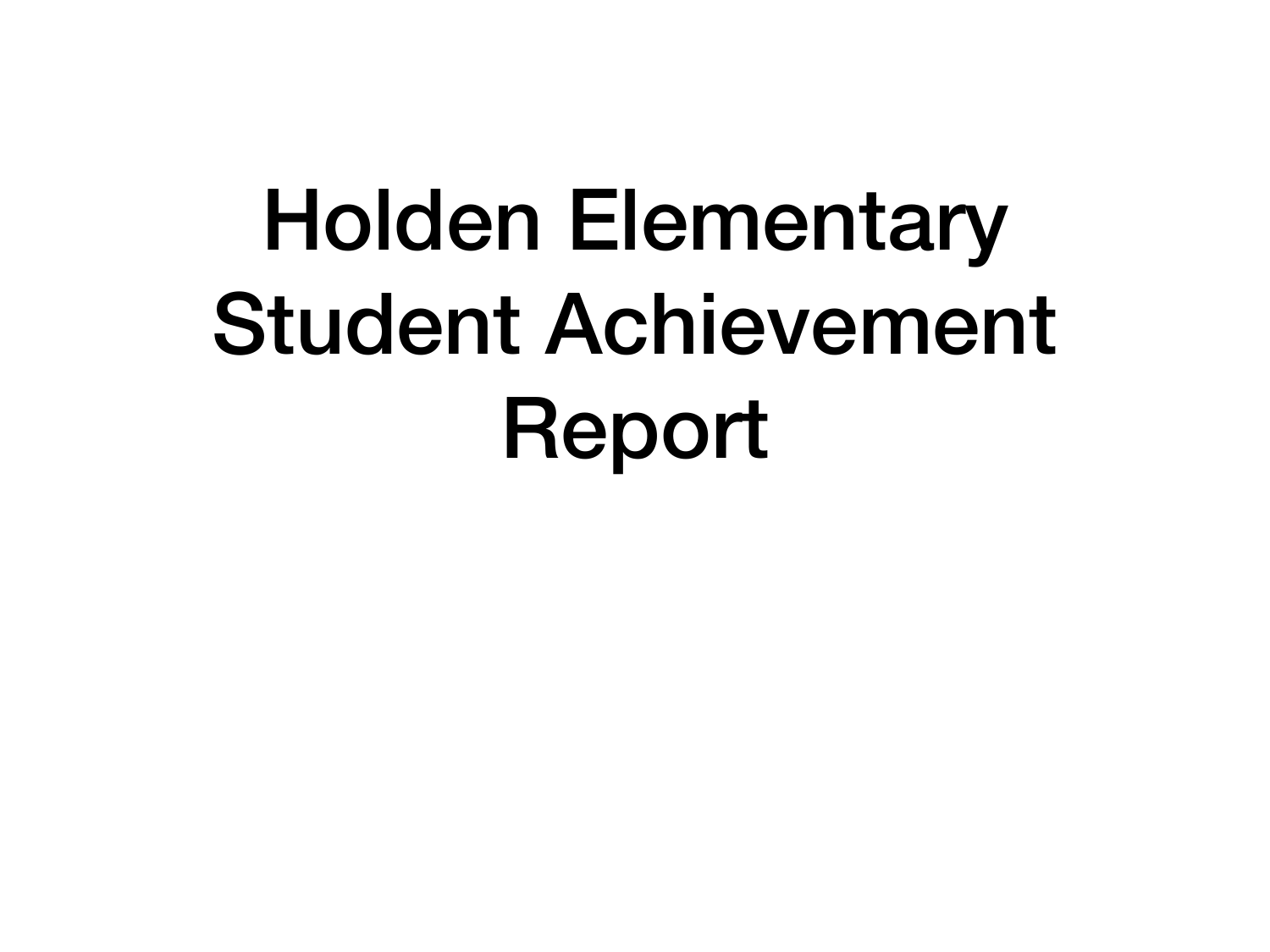### Holden Elementary Student Achievement Report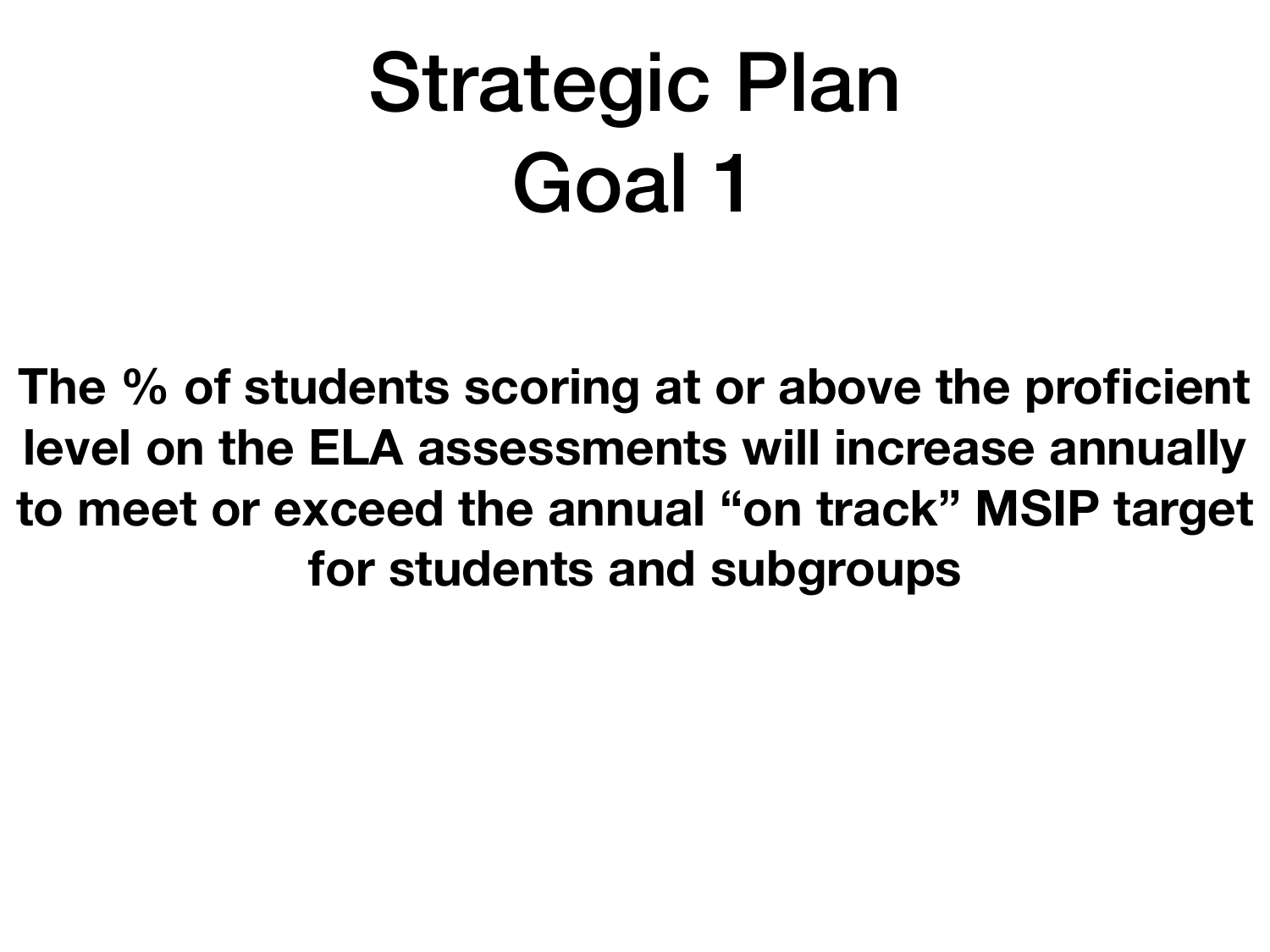### Strategic Plan Goal 1

**The % of students scoring at or above the proficient level on the ELA assessments will increase annually to meet or exceed the annual "on track" MSIP target for students and subgroups**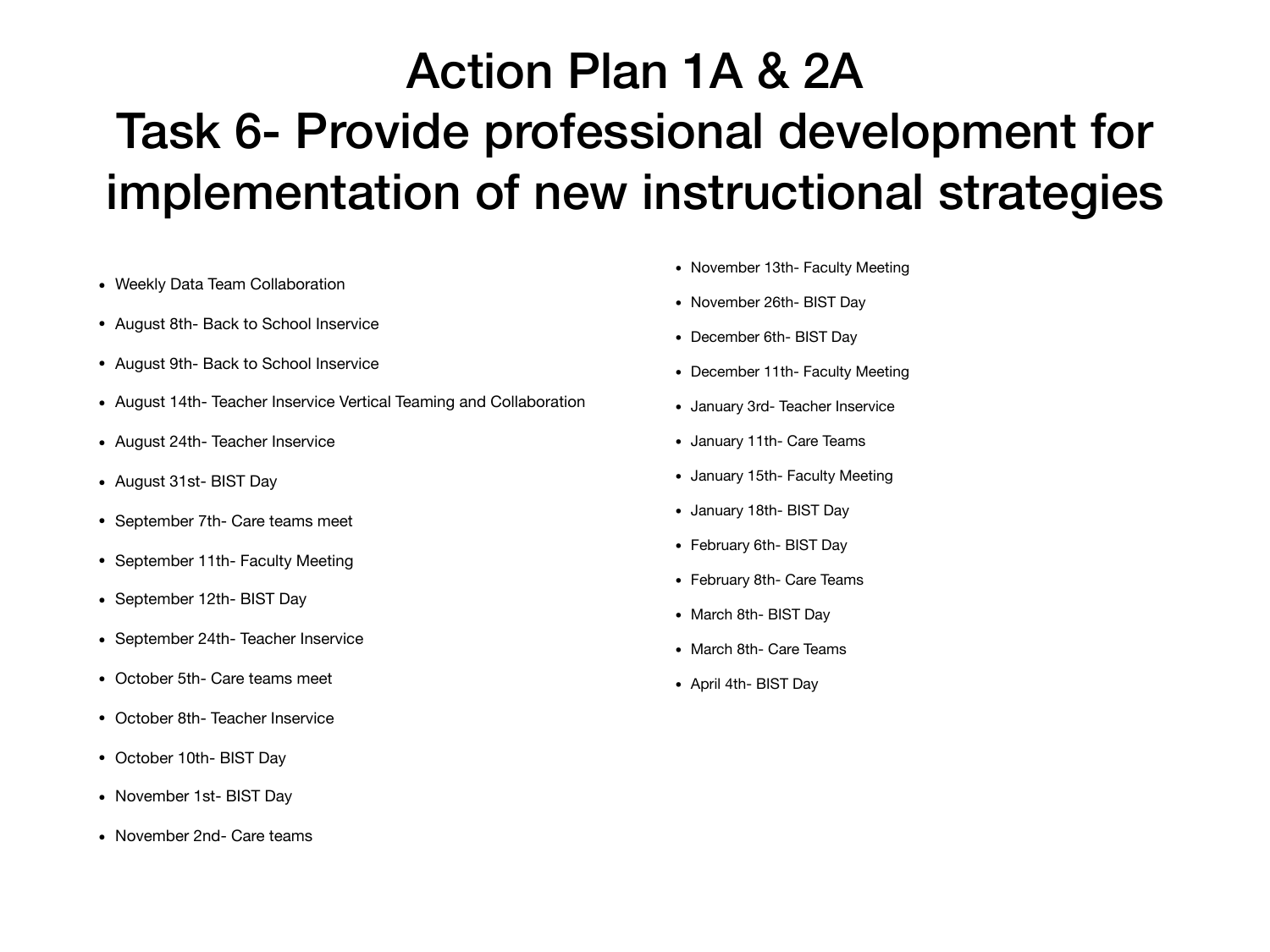#### Action Plan 1A & 2A Task 6- Provide professional development for implementation of new instructional strategies

- Weekly Data Team Collaboration
- August 8th- Back to School Inservice
- August 9th- Back to School Inservice
- August 14th- Teacher Inservice Vertical Teaming and Collaboration
- August 24th- Teacher Inservice
- August 31st- BIST Day
- September 7th- Care teams meet
- September 11th- Faculty Meeting
- September 12th- BIST Day
- September 24th-Teacher Inservice
- October 5th- Care teams meet
- October 8th-Teacher Inservice
- October 10th- BIST Day
- November 1st- BIST Day
- November 2nd- Care teams
- November 13th- Faculty Meeting
- November 26th- BIST Day
- December 6th- BIST Day
- December 11th- Faculty Meeting
- January 3rd- Teacher Inservice
- January 11th- Care Teams
- January 15th- Faculty Meeting
- January 18th- BIST Day
- February 6th- BIST Day
- February 8th- Care Teams
- March 8th- BIST Day
- March 8th- Care Teams
- April 4th- BIST Day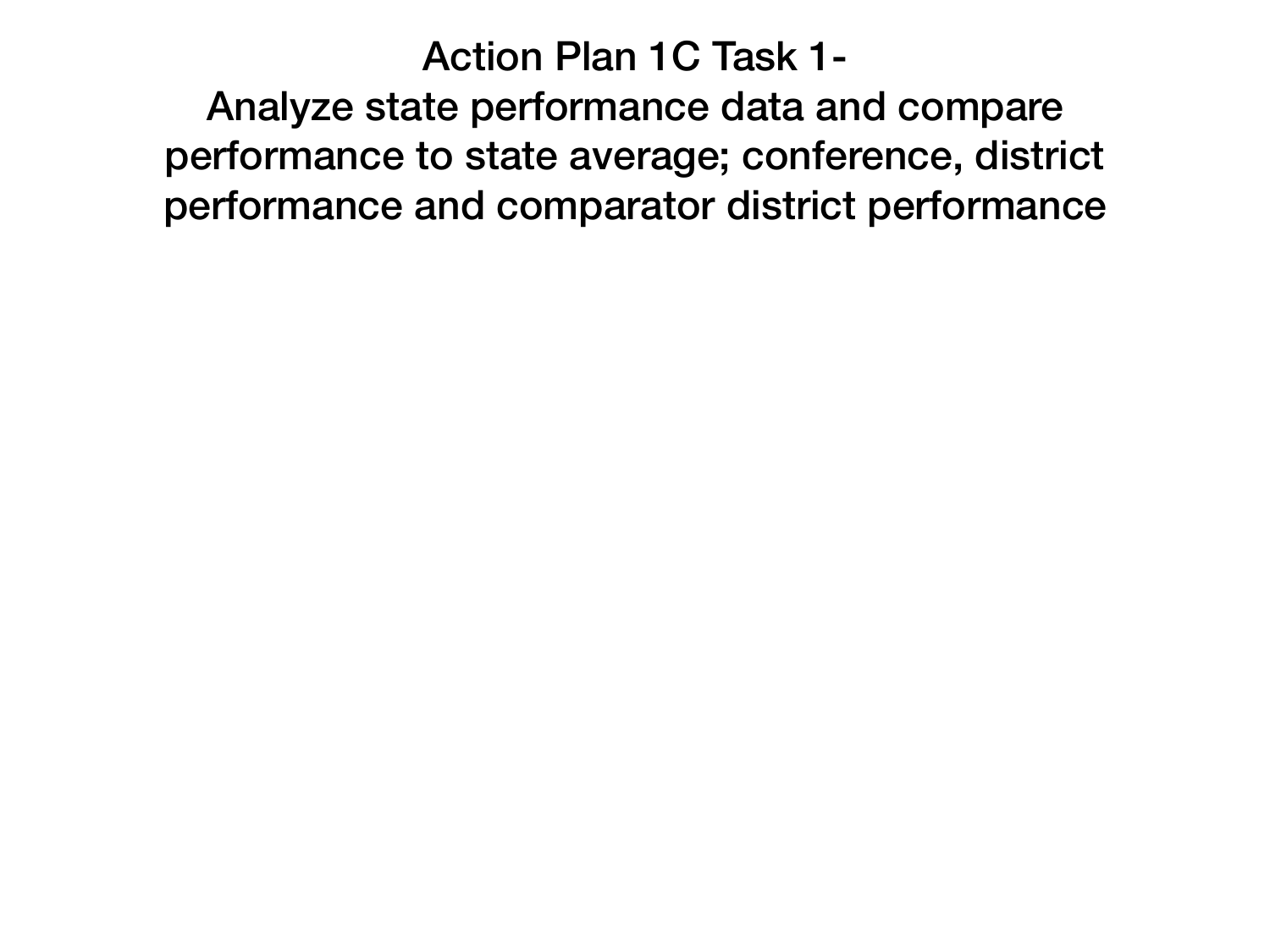#### Action Plan 1C Task 1-

Analyze state performance data and compare performance to state average; conference, district performance and comparator district performance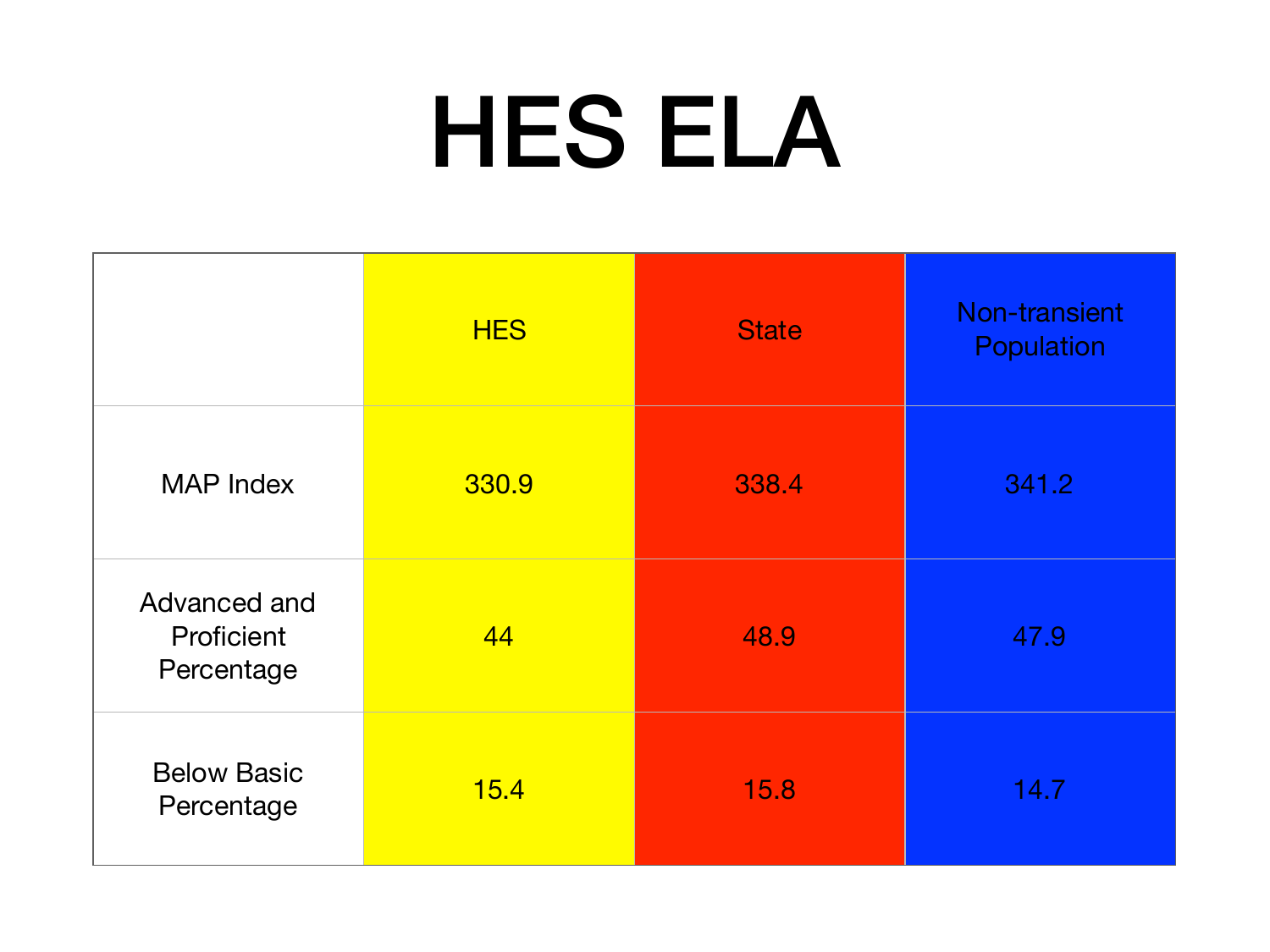# HES ELA

|                                          | <b>HES</b> | <b>State</b> | Non-transient<br>Population |
|------------------------------------------|------------|--------------|-----------------------------|
| <b>MAP Index</b>                         | 330.9      | 338.4        | 341.2                       |
| Advanced and<br>Proficient<br>Percentage | 44         | 48.9         | 47.9                        |
| <b>Below Basic</b><br>Percentage         | 15.4       | 15.8         | 14.7                        |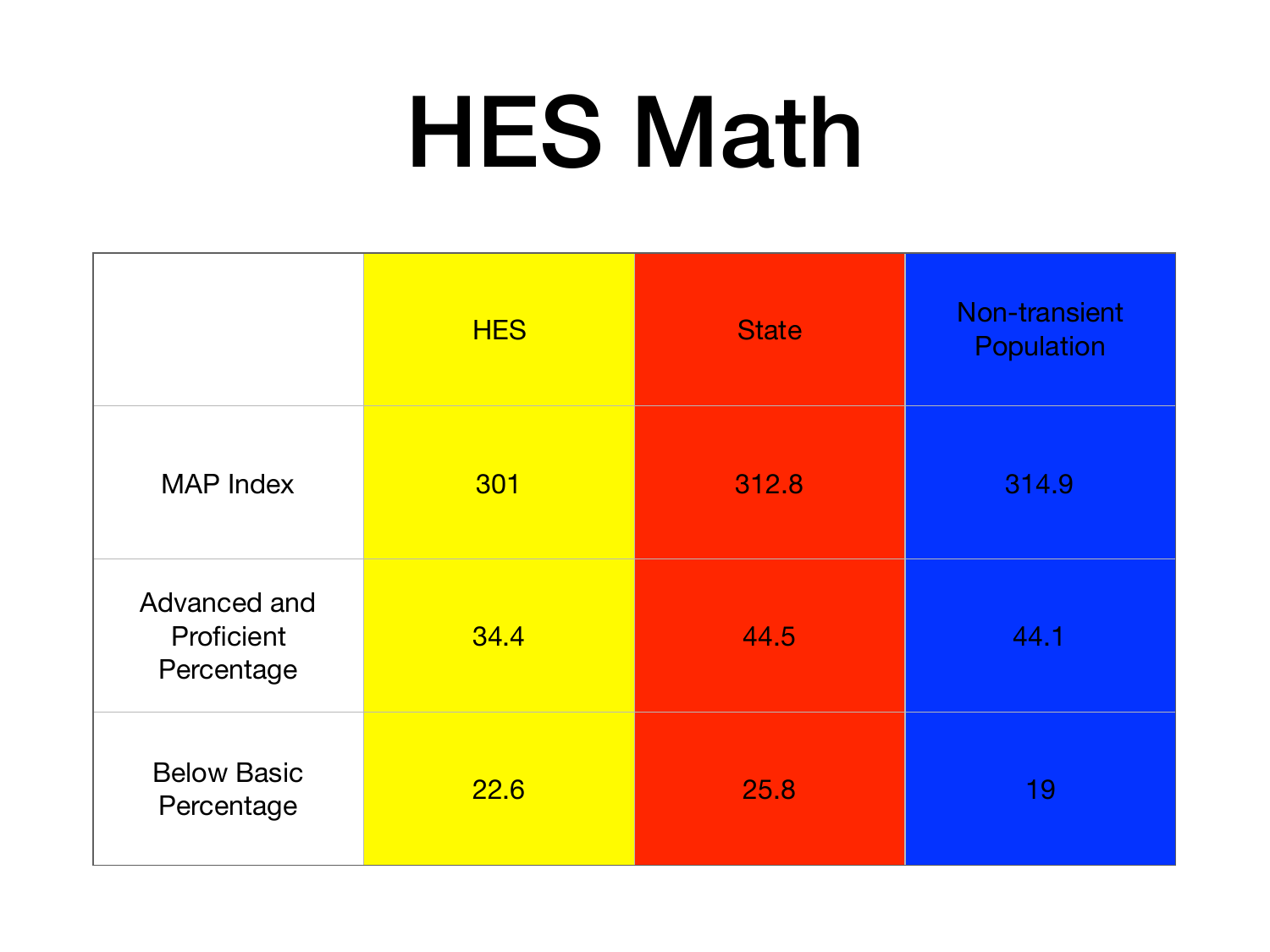# HES Math

|                                          | <b>HES</b> | <b>State</b> | Non-transient<br>Population |
|------------------------------------------|------------|--------------|-----------------------------|
| <b>MAP Index</b>                         | 301        | 312.8        | 314.9                       |
| Advanced and<br>Proficient<br>Percentage | 34.4       | 44.5         | 44.1                        |
| <b>Below Basic</b><br>Percentage         | 22.6       | 25.8         | 19                          |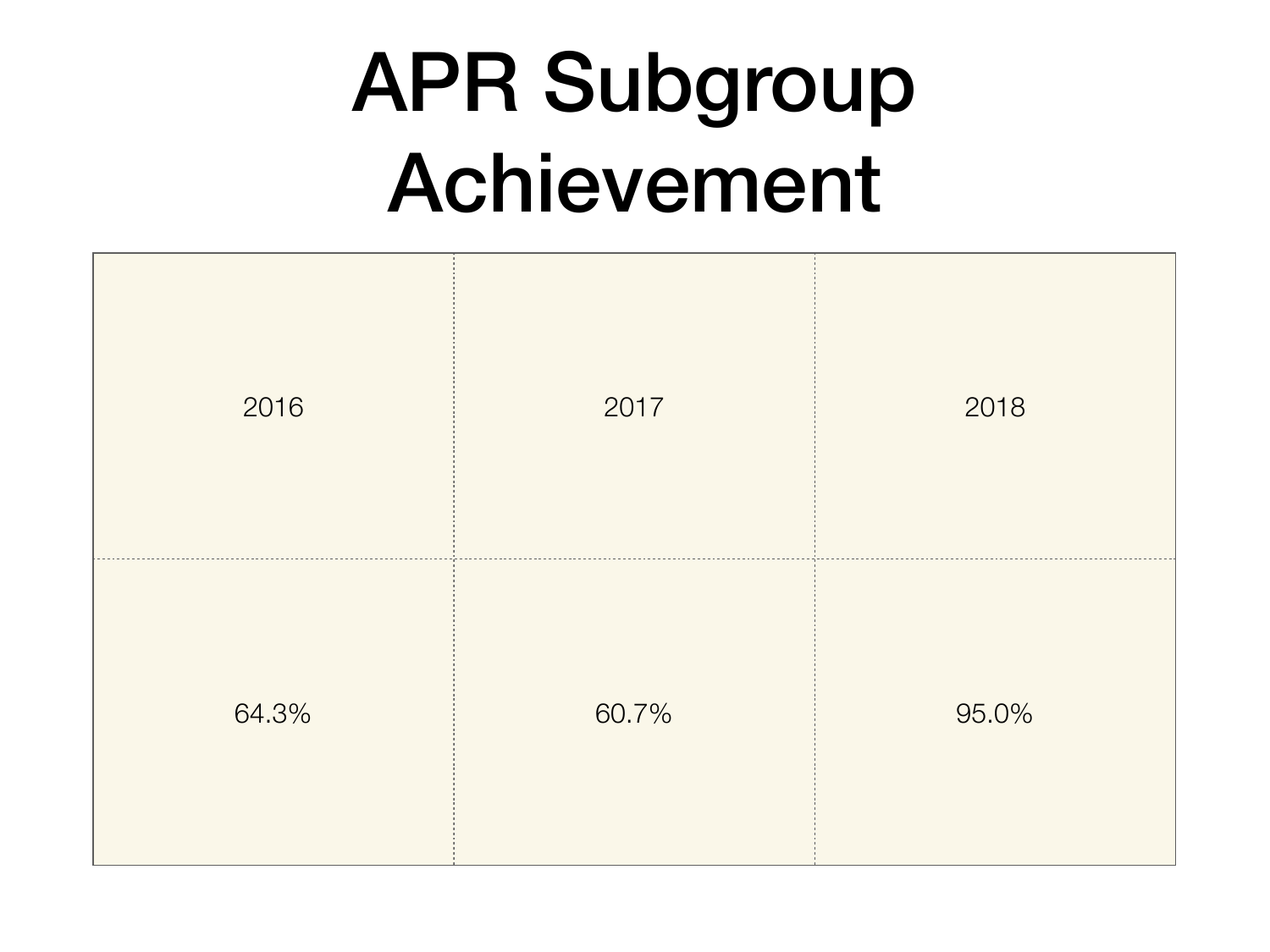### APR Subgroup Achievement

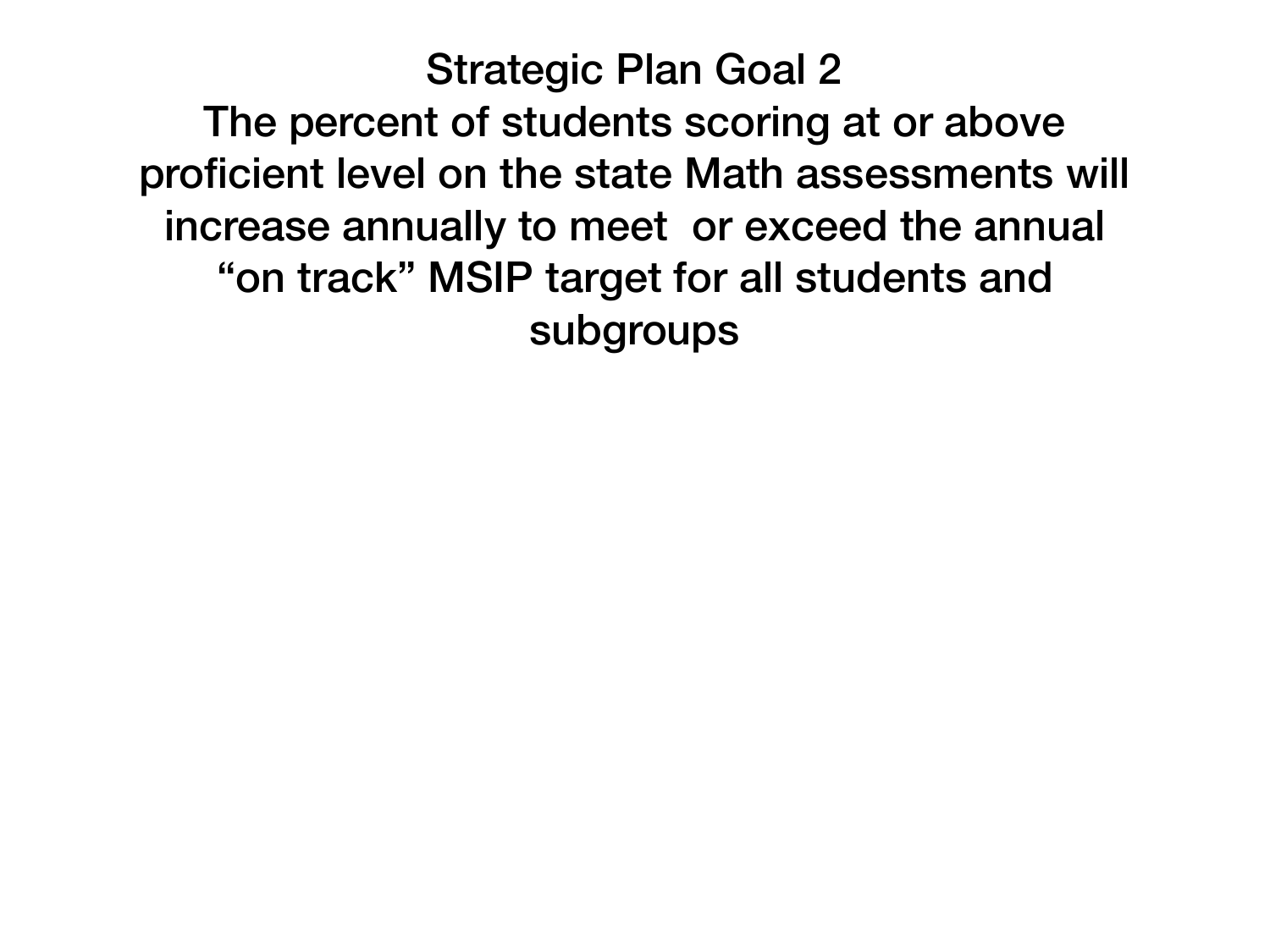Strategic Plan Goal 2 The percent of students scoring at or above proficient level on the state Math assessments will increase annually to meet or exceed the annual "on track" MSIP target for all students and subgroups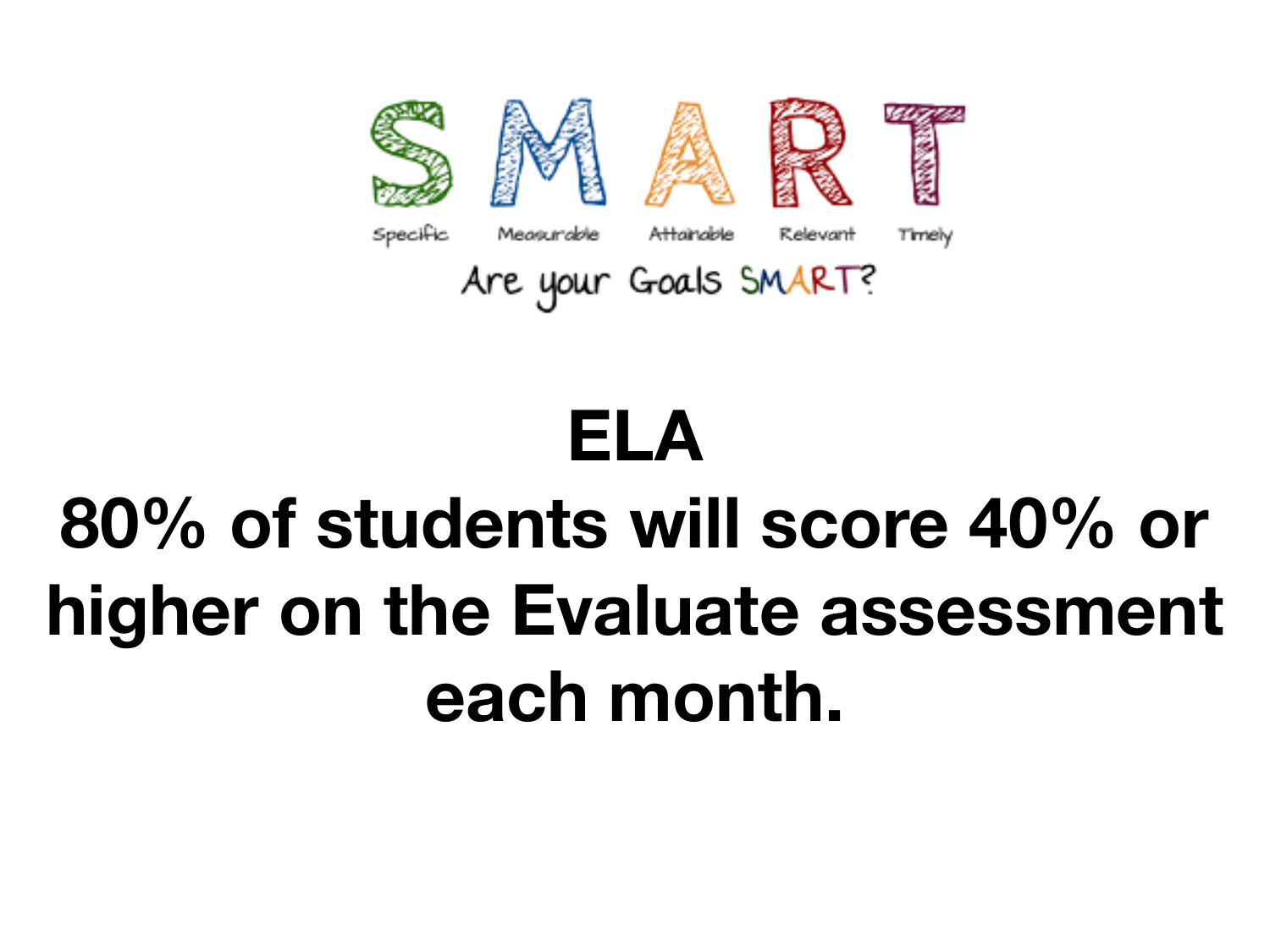

### **ELA 80% of students will score 40% or higher on the Evaluate assessment each month.**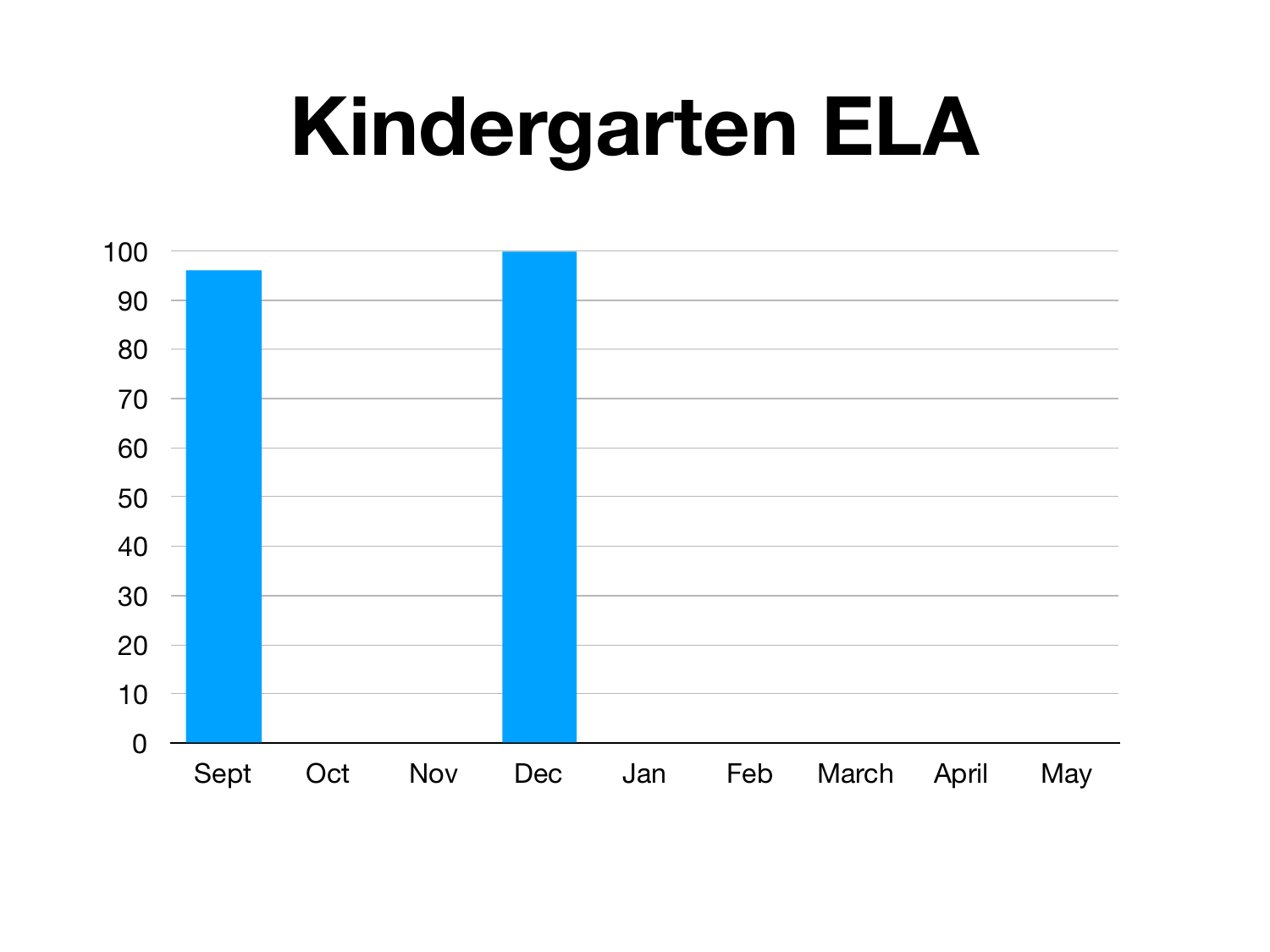### **Kindergarten ELA**

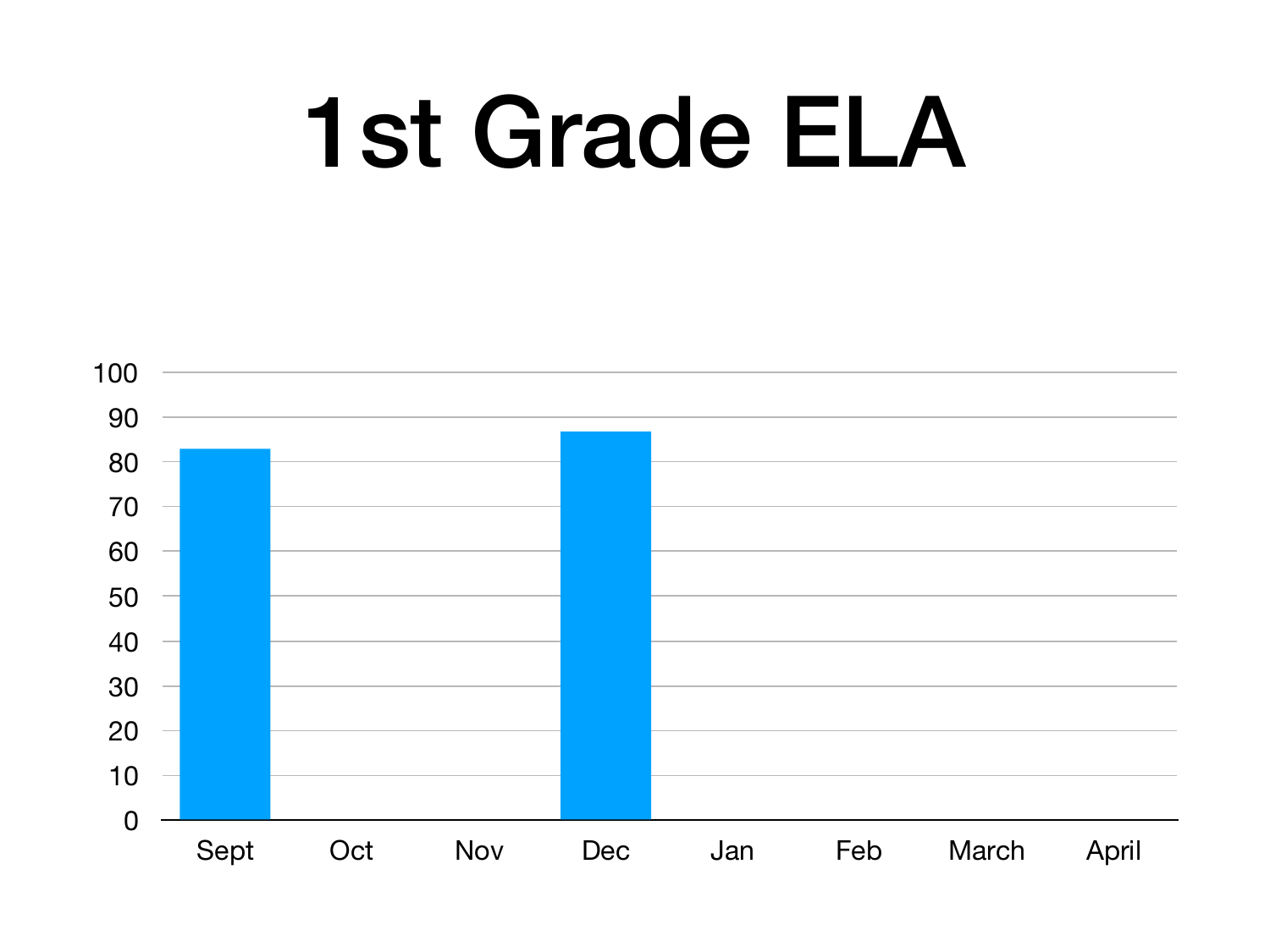# 1st Grade ELA

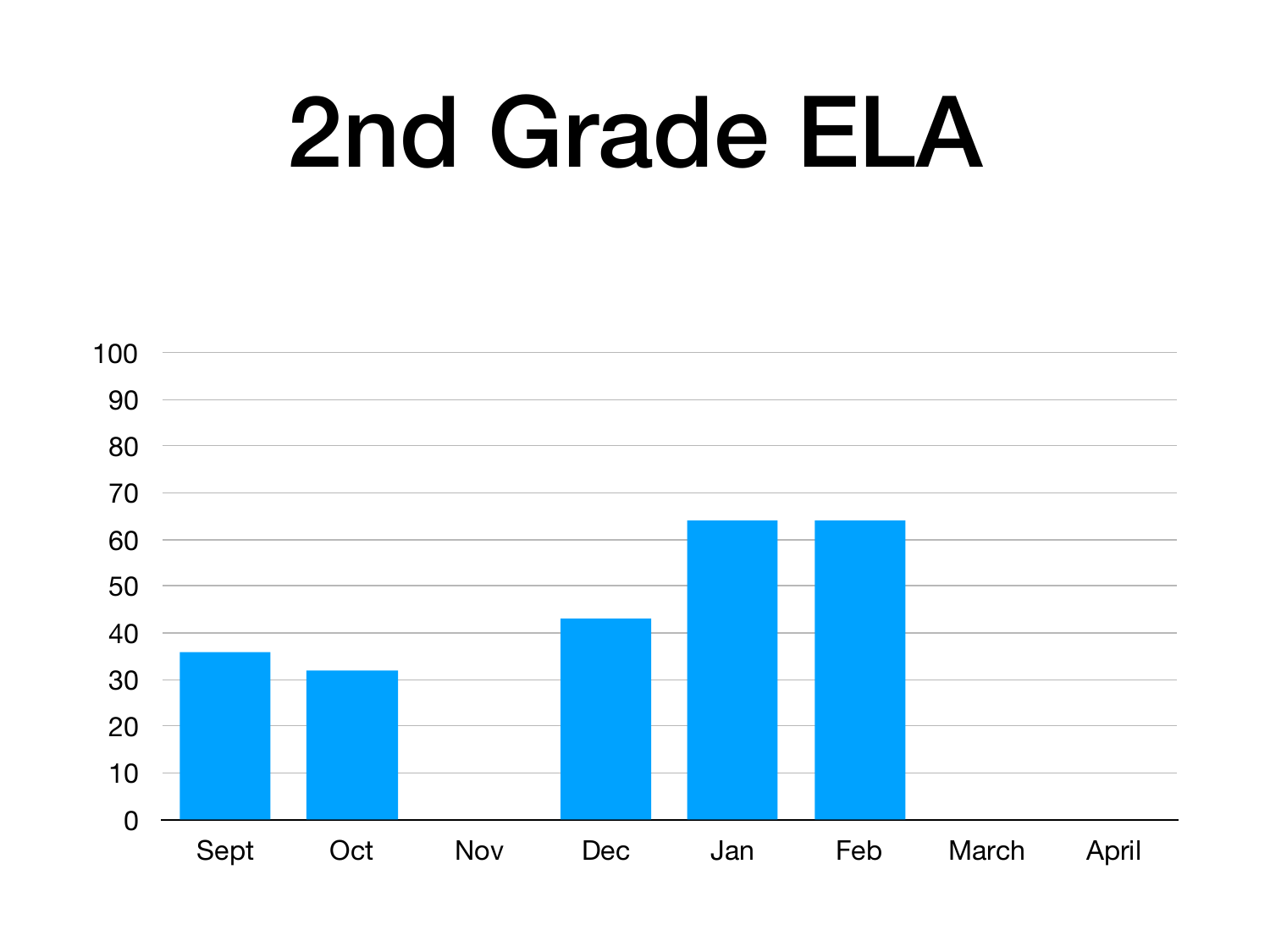# 2nd Grade ELA

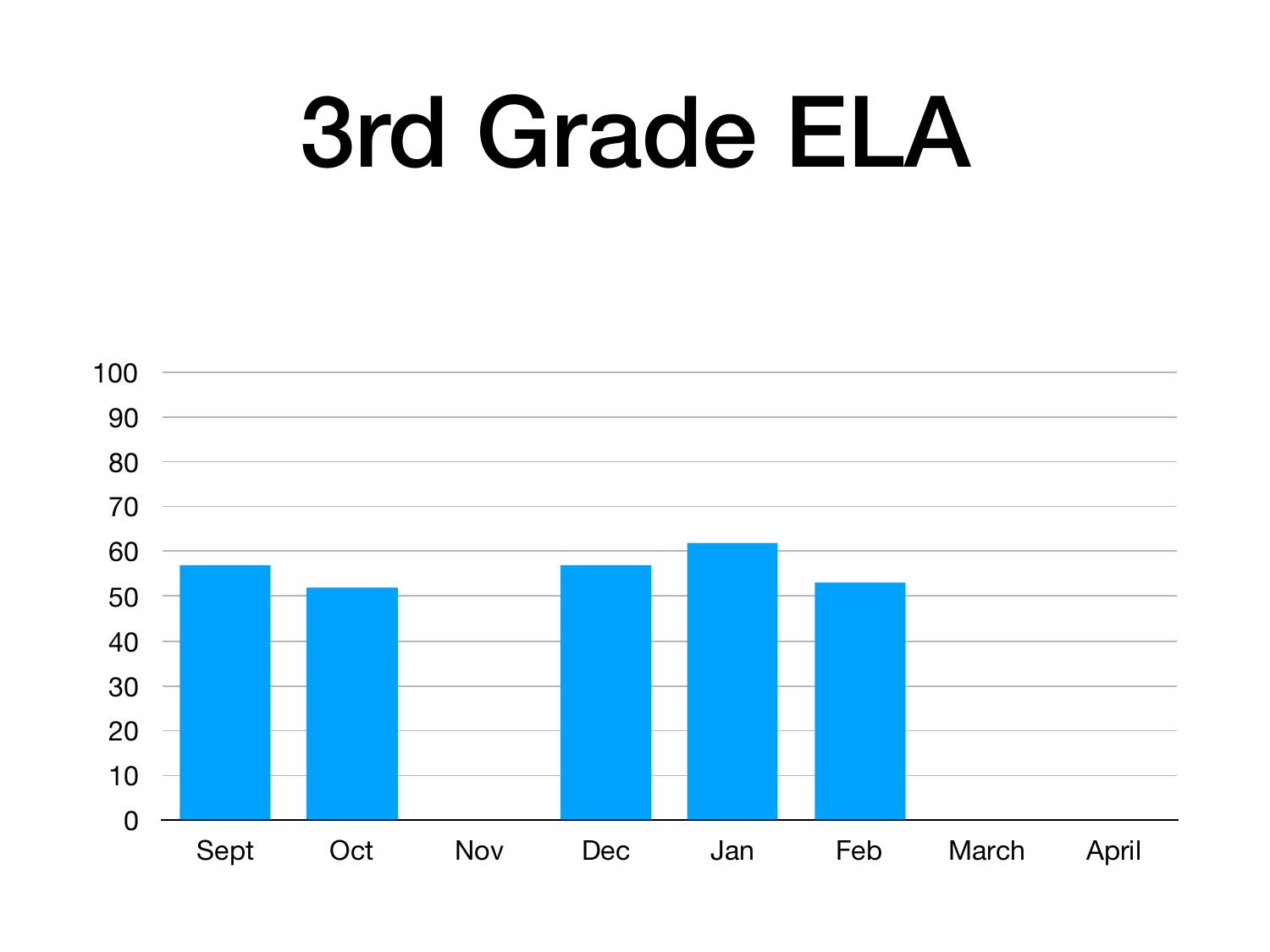# 3rd Grade ELA

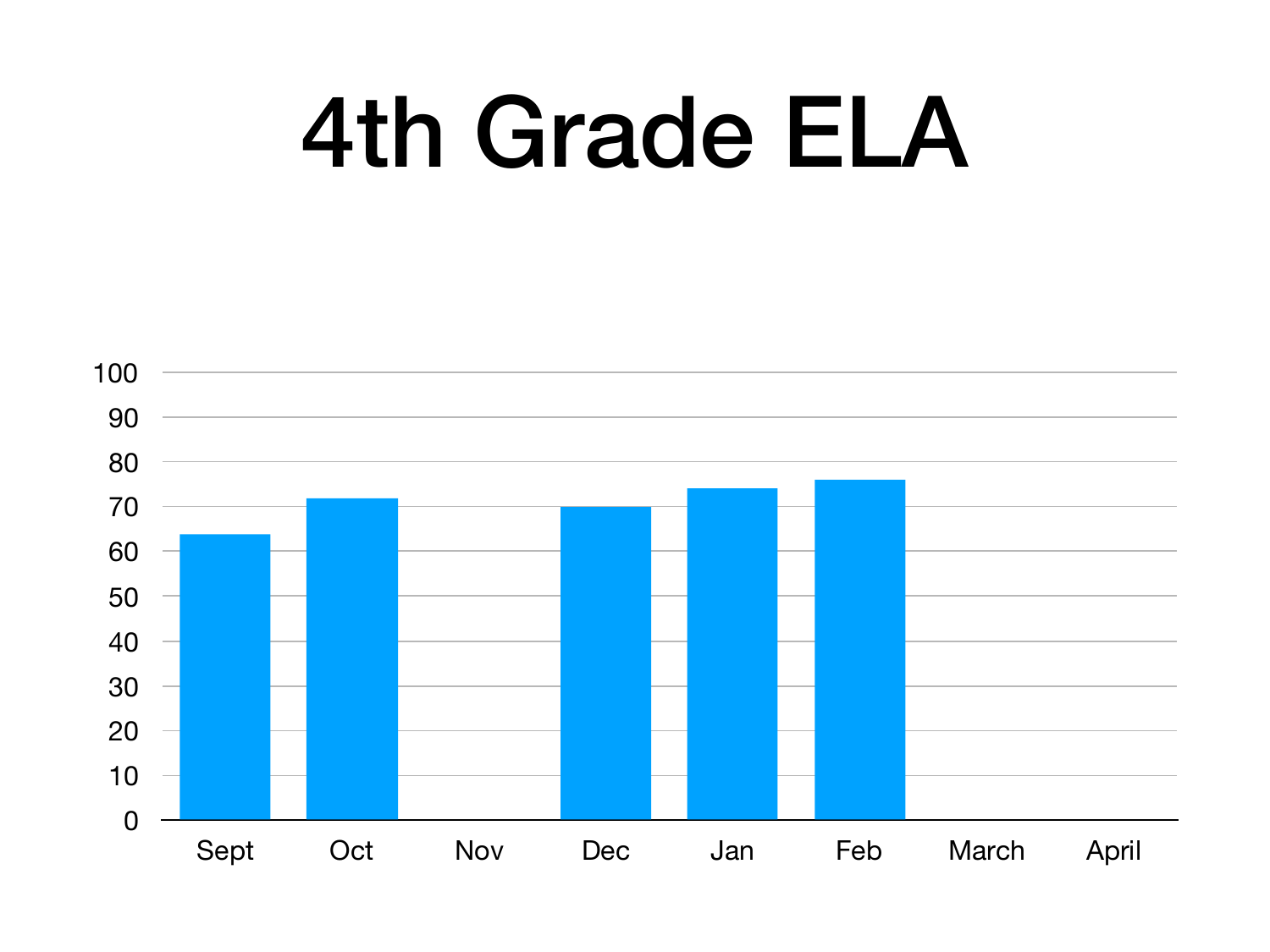# 4th Grade ELA

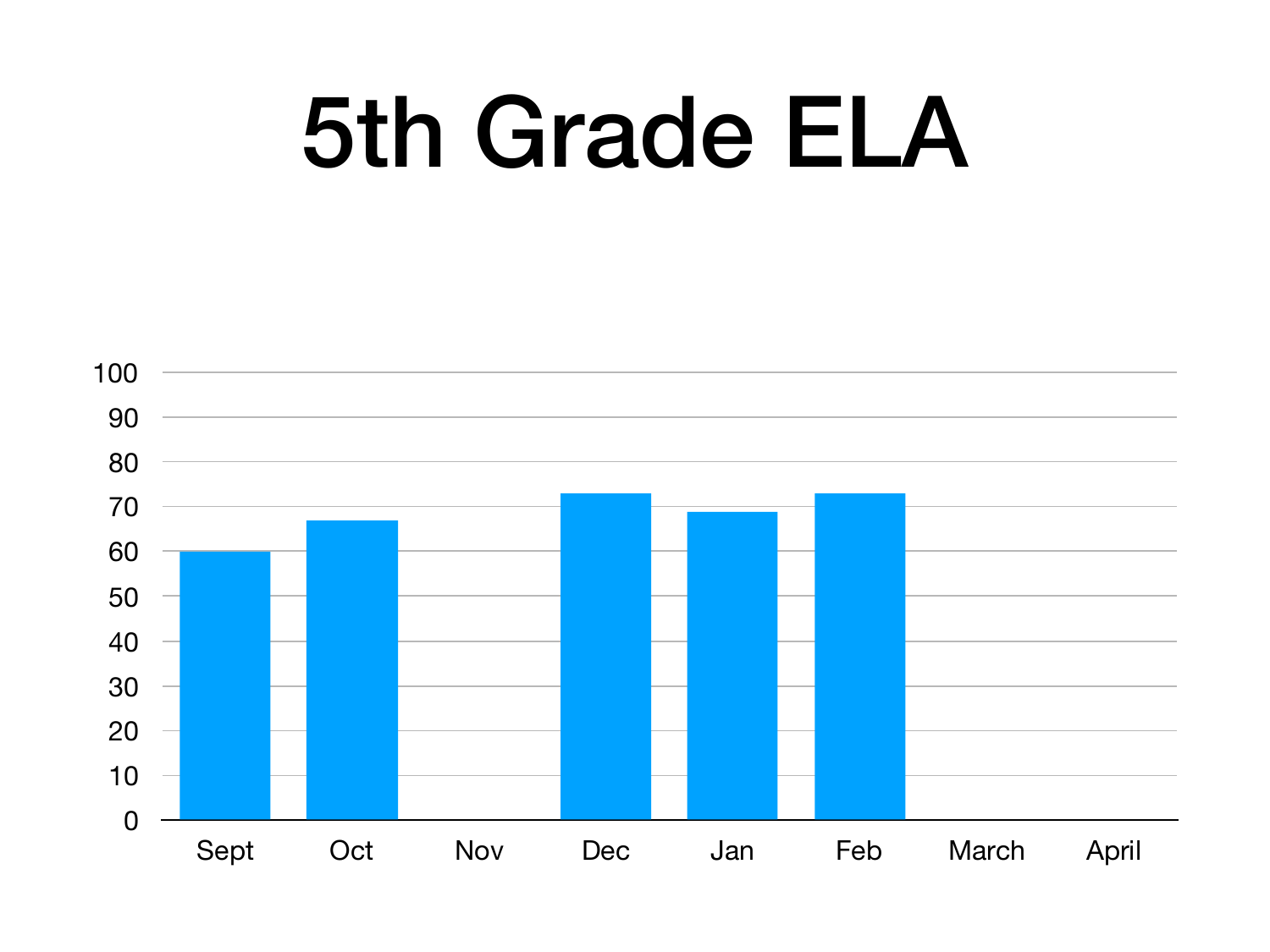# 5th Grade ELA

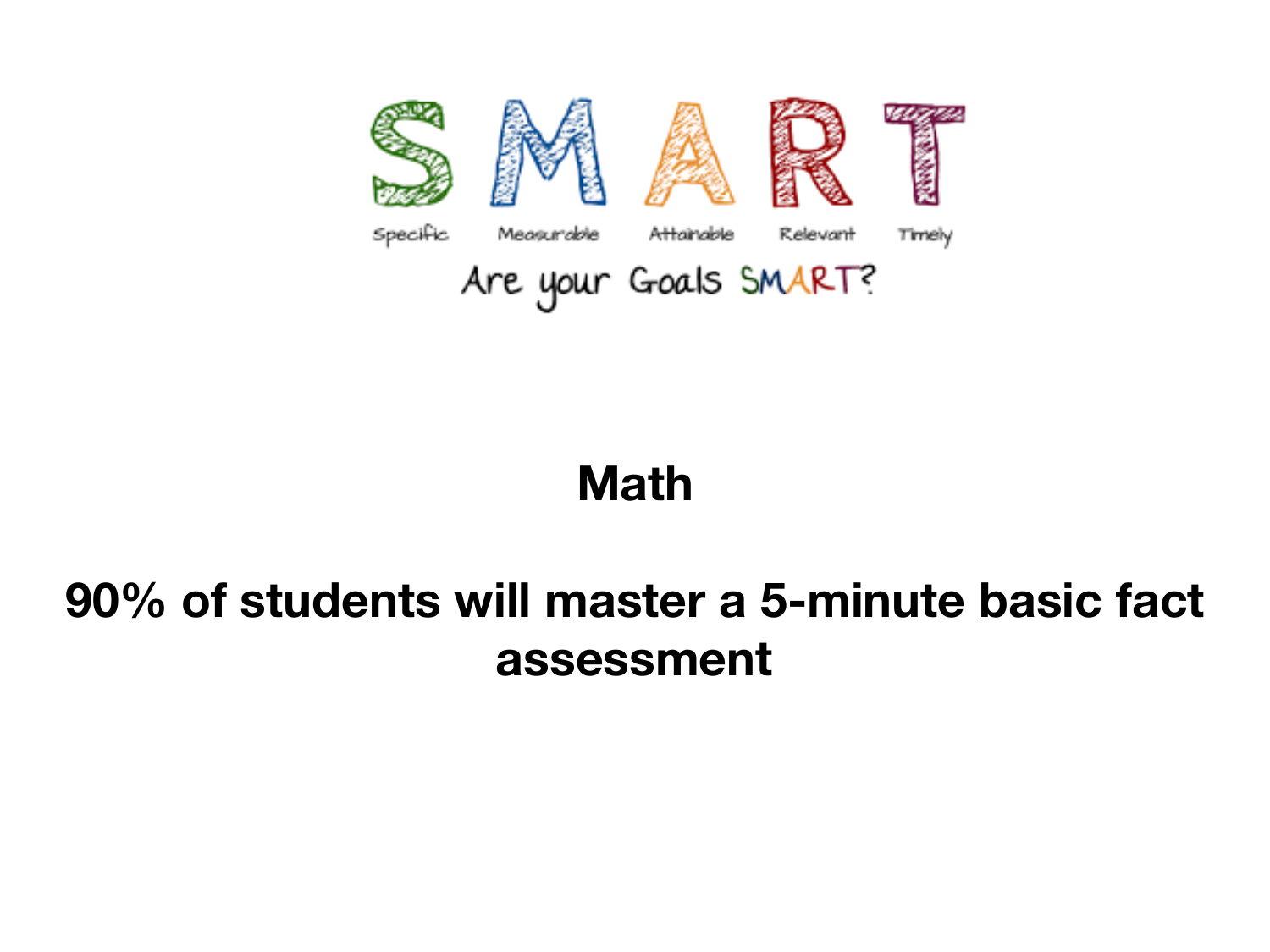

#### **Math**

#### **90% of students will master a 5-minute basic fact assessment**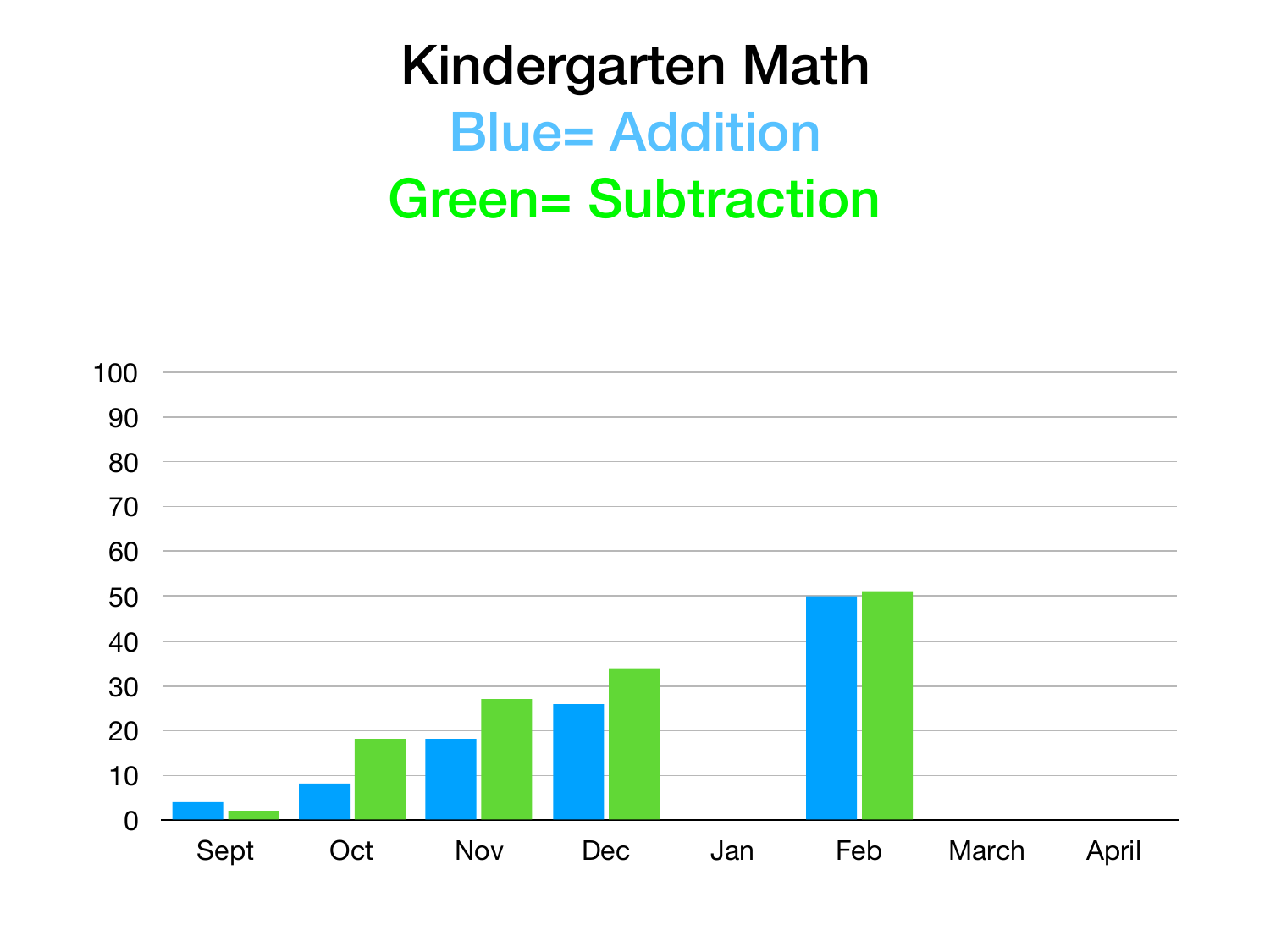#### Kindergarten Math **Blue= Addition** Green= Subtraction

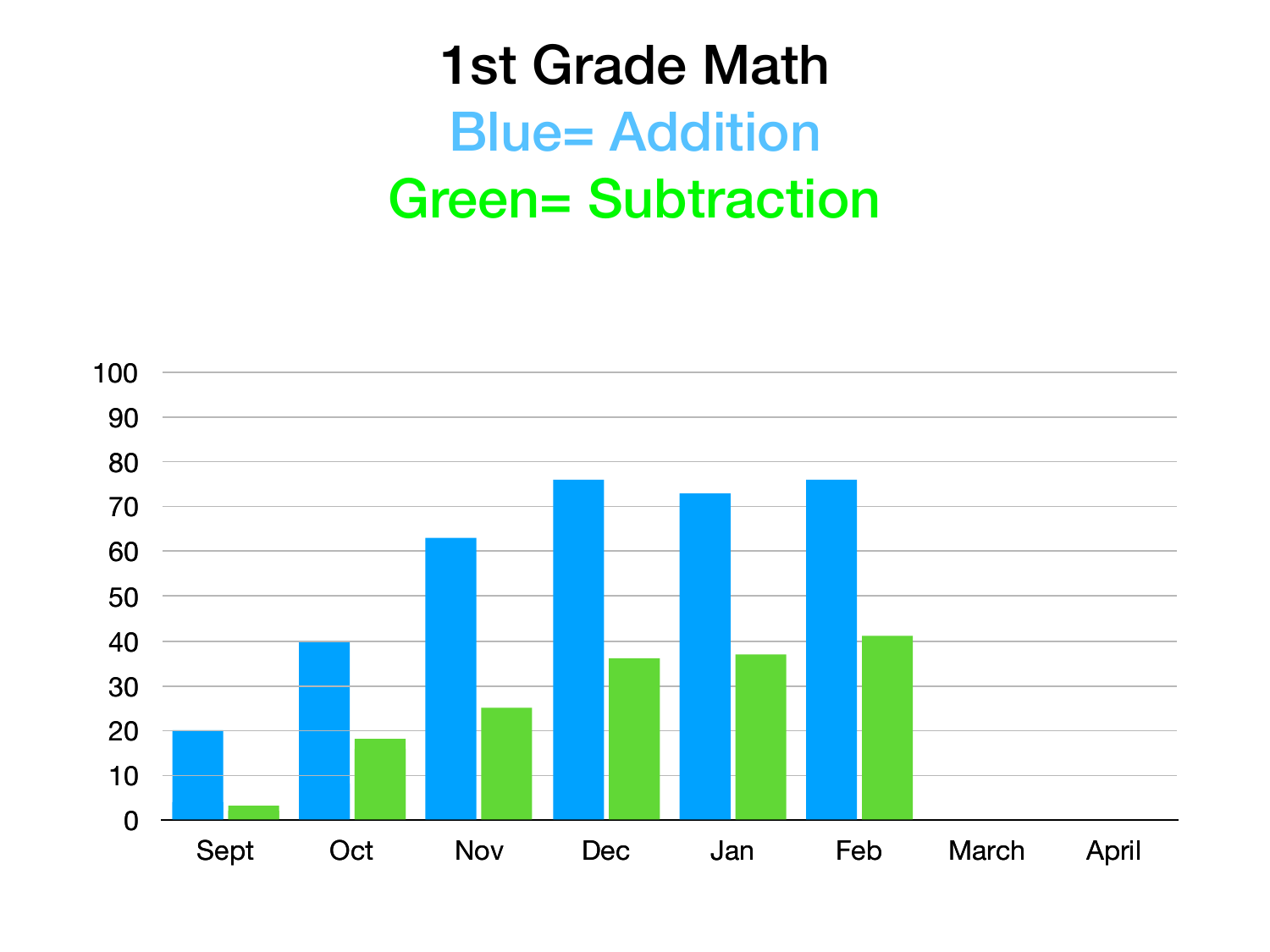#### 1st Grade Math Blue= Addition Green= Subtraction

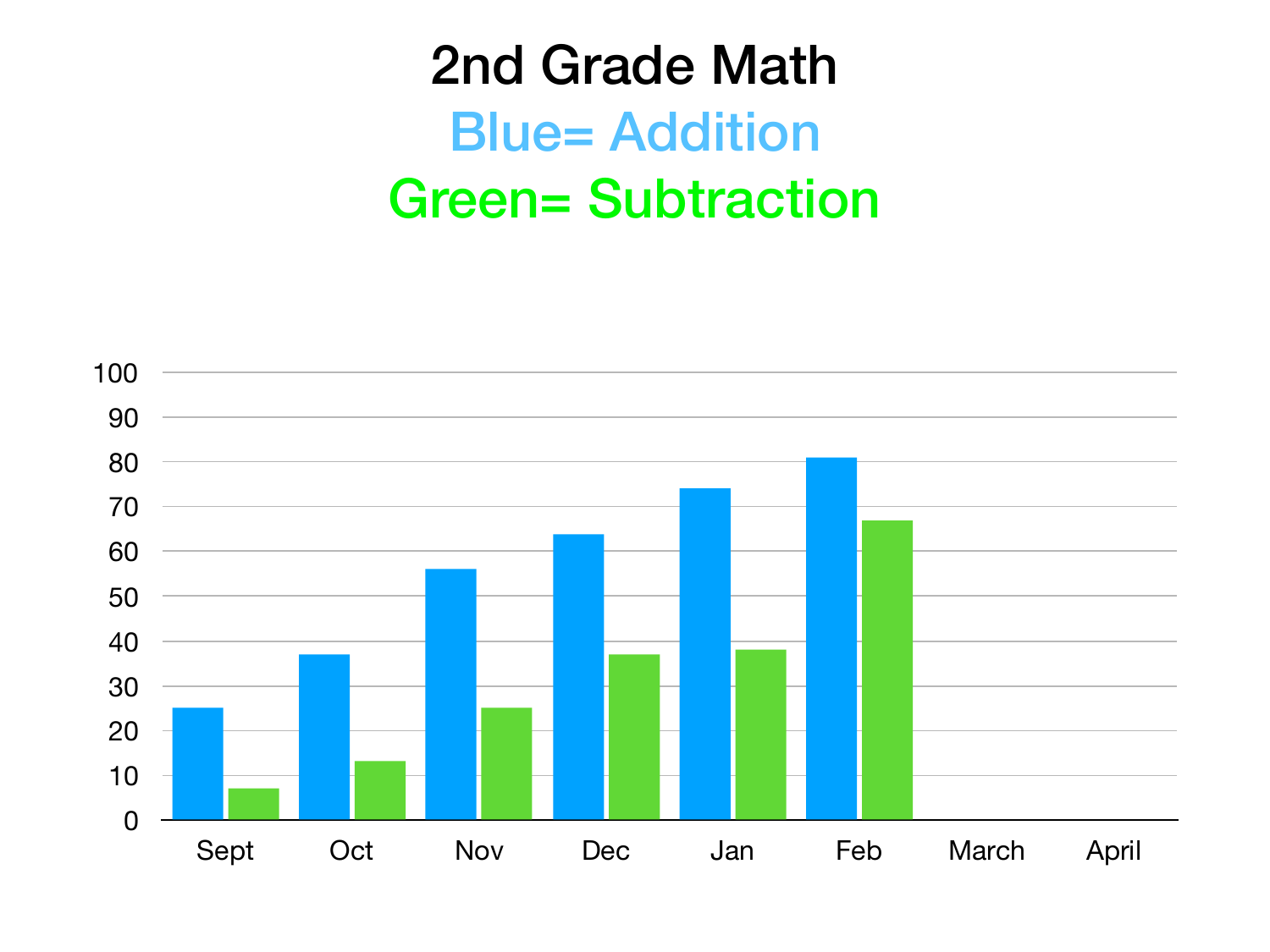#### 2nd Grade Math **Blue= Addition** Green= Subtraction

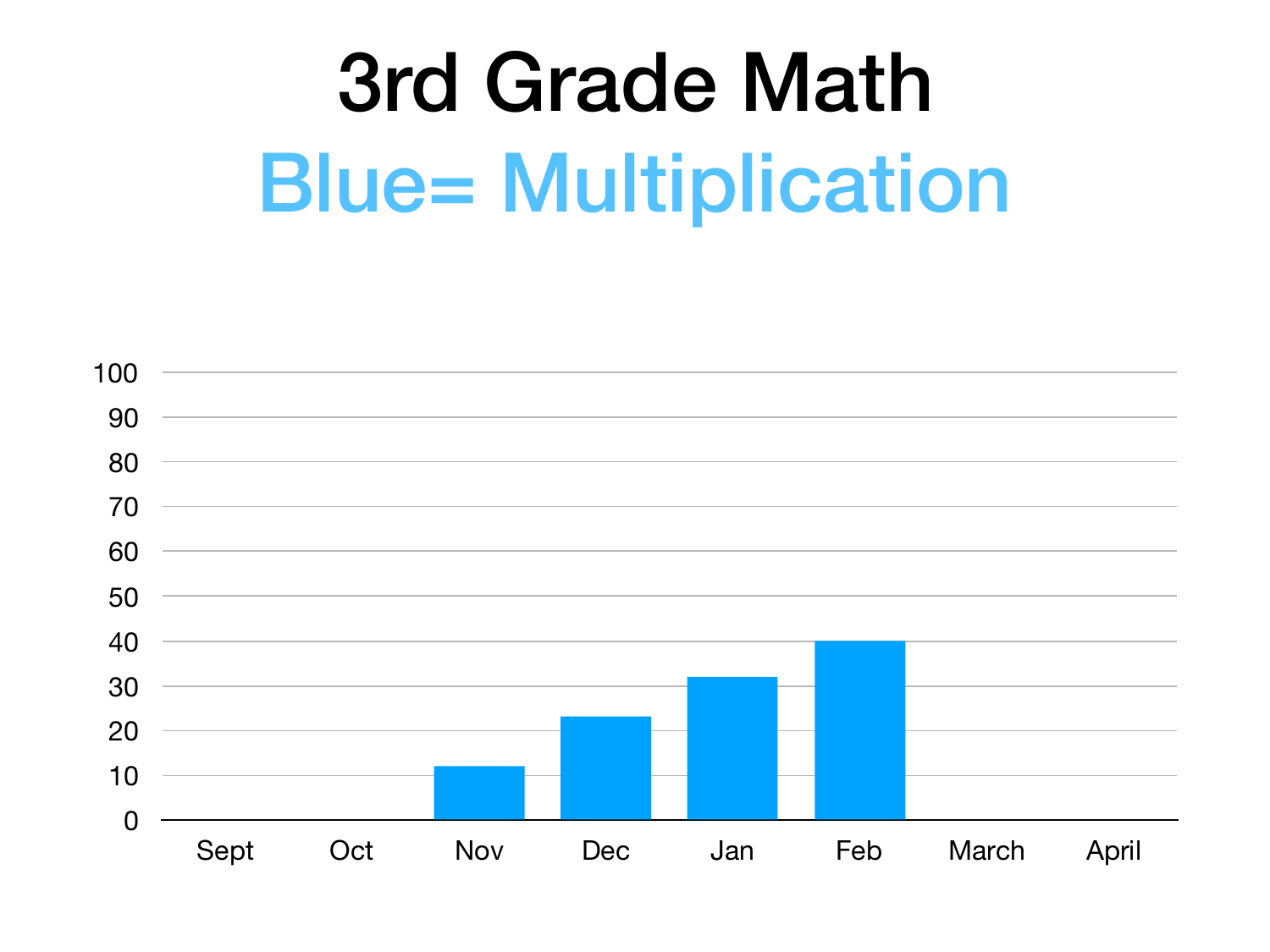### 3rd Grade Math **Blue= Multiplication**

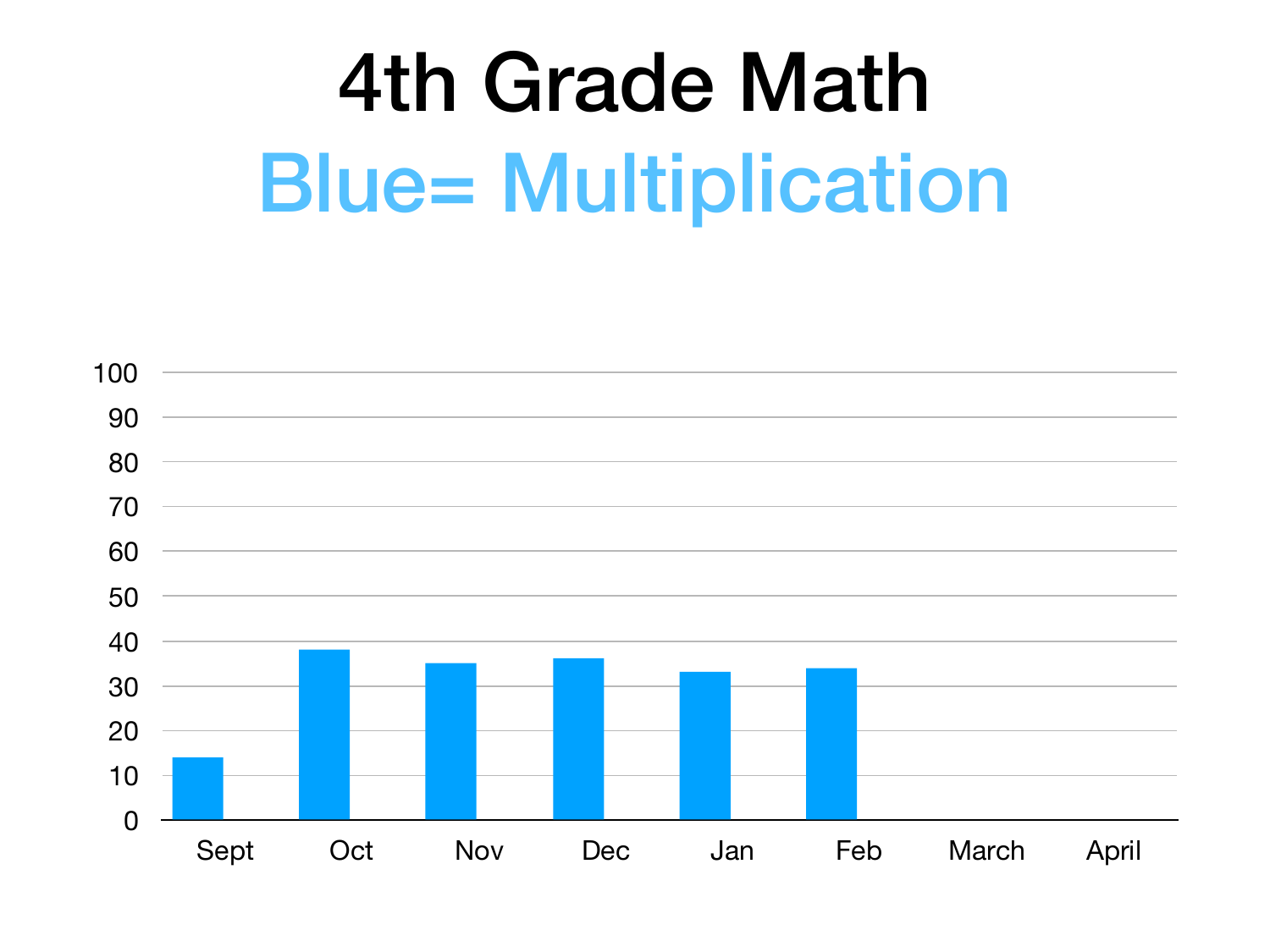### 4th Grade Math **Blue= Multiplication**

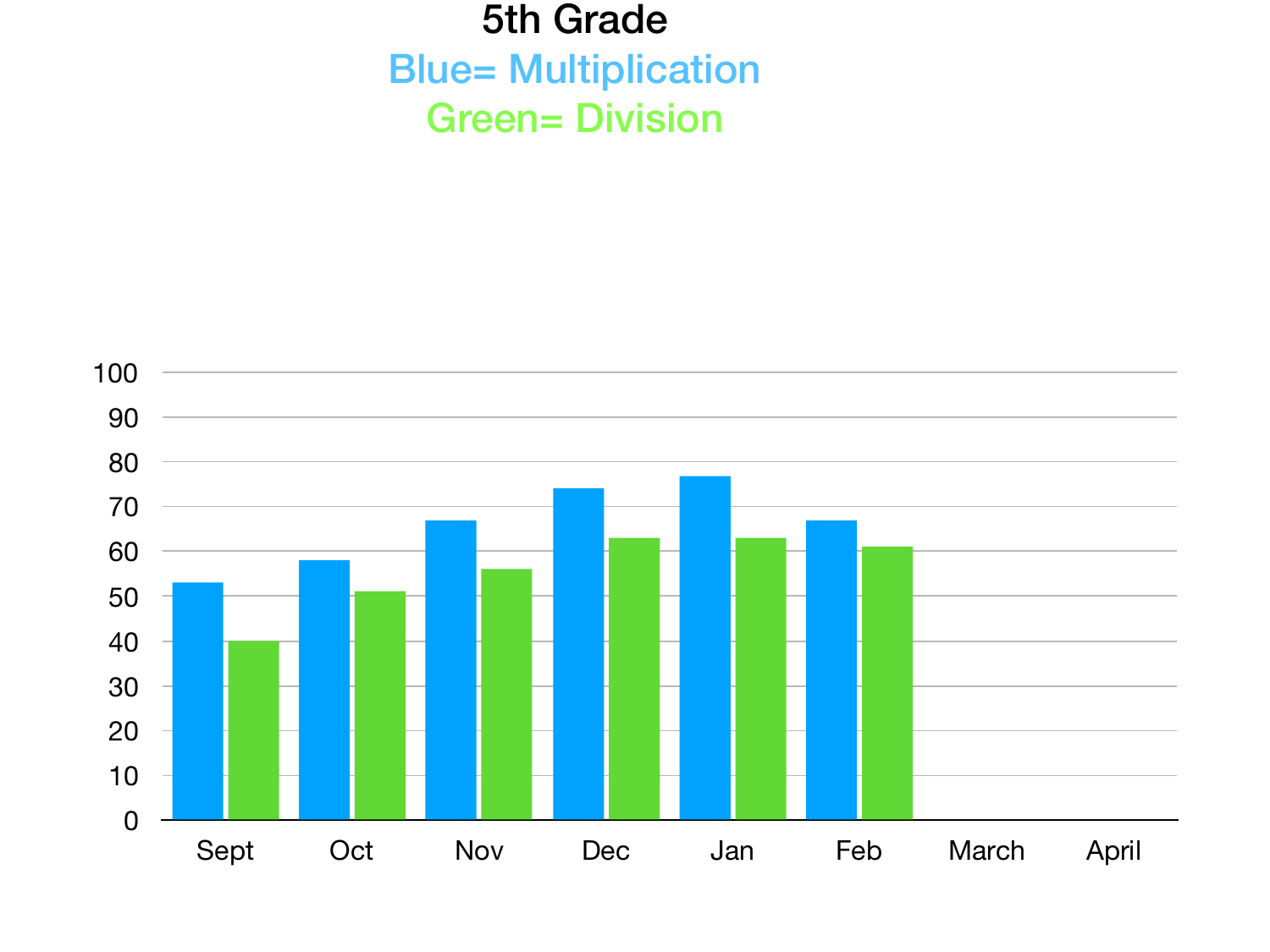#### 5th Grade **Blue= Multiplication** Green= Division

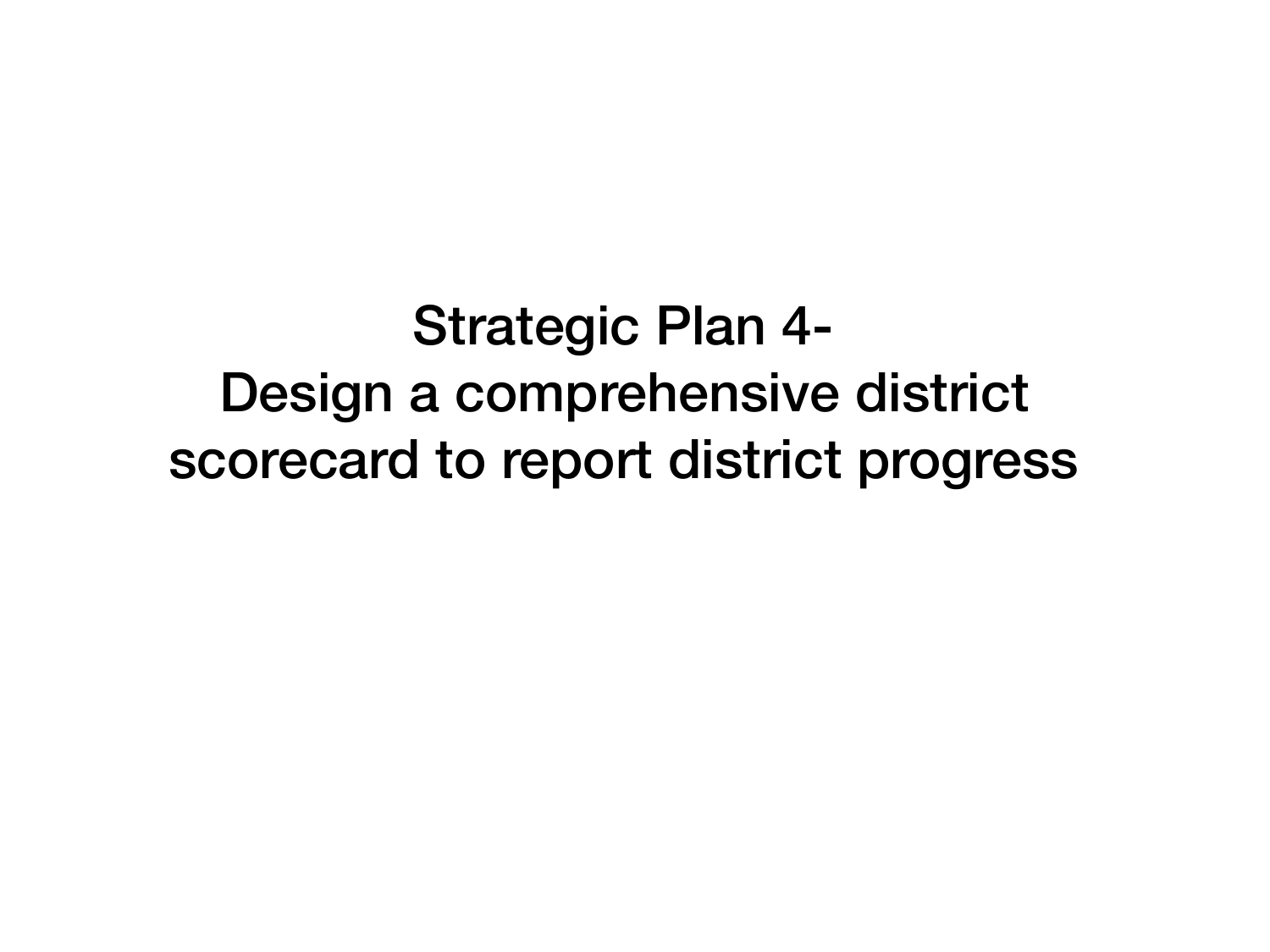Strategic Plan 4- Design a comprehensive district scorecard to report district progress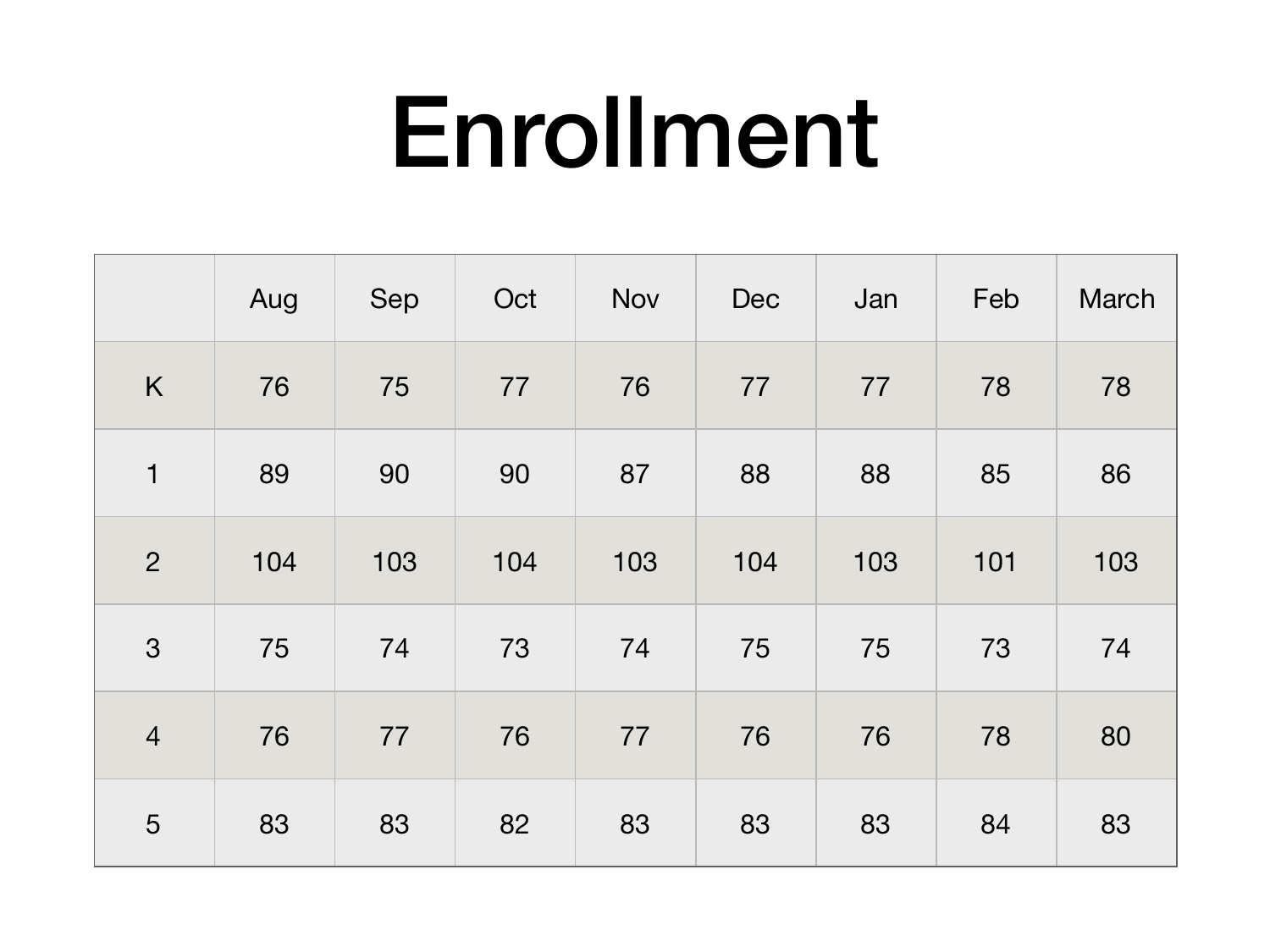### Enrollment

|                | Aug | Sep | Oct | Nov | Dec | Jan | Feb | <b>March</b> |
|----------------|-----|-----|-----|-----|-----|-----|-----|--------------|
| K              | 76  | 75  | 77  | 76  | 77  | 77  | 78  | 78           |
| $\mathbf 1$    | 89  | 90  | 90  | 87  | 88  | 88  | 85  | 86           |
| $\overline{2}$ | 104 | 103 | 104 | 103 | 104 | 103 | 101 | 103          |
| 3              | 75  | 74  | 73  | 74  | 75  | 75  | 73  | 74           |
| $\overline{4}$ | 76  | 77  | 76  | 77  | 76  | 76  | 78  | 80           |
| 5              | 83  | 83  | 82  | 83  | 83  | 83  | 84  | 83           |